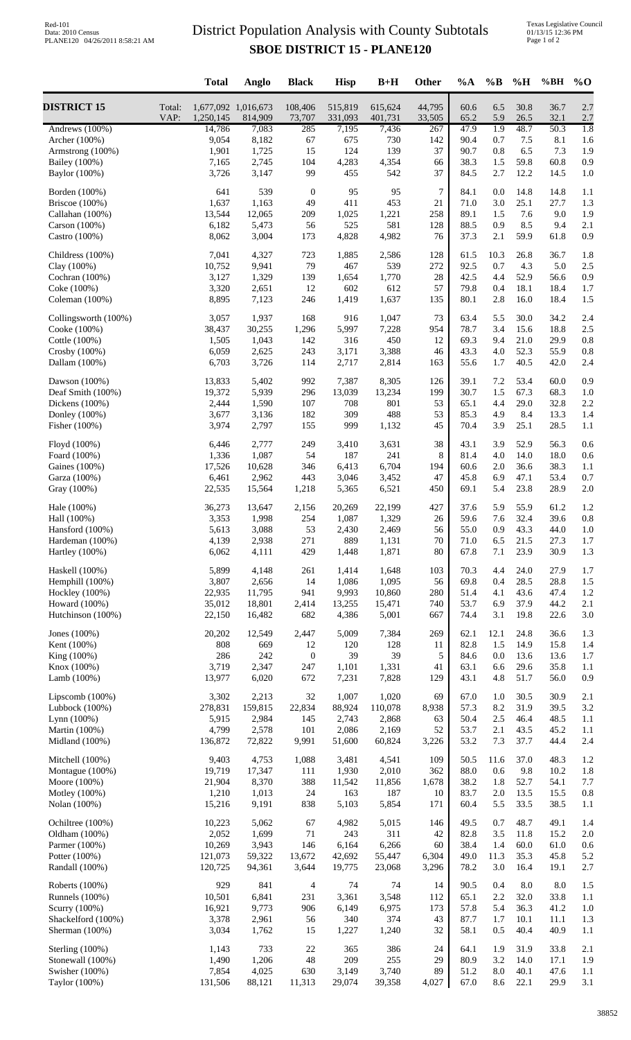## District Population Analysis with County Subtotals **SBOE DISTRICT 15 - PLANE120**

|                                     |                | <b>Total</b>                     | Anglo            | <b>Black</b>      | <b>Hisp</b>        | $B+H$              | Other            | %A           | $\%B$            | %H           | %BH          | $\%$ O           |
|-------------------------------------|----------------|----------------------------------|------------------|-------------------|--------------------|--------------------|------------------|--------------|------------------|--------------|--------------|------------------|
| <b>DISTRICT 15</b>                  | Total:<br>VAP: | 1,677,092 1,016,673<br>1,250,145 | 814,909          | 108,406<br>73,707 | 515,819<br>331,093 | 615,624<br>401,731 | 44,795<br>33,505 | 60.6<br>65.2 | 6.5<br>5.9       | 30.8<br>26.5 | 36.7<br>32.1 | 2.7<br>2.7       |
| Andrews (100%)                      |                | 14,786                           | 7,083            | 285               | 7,195              | 7,436              | 267              | 47.9         | $\overline{1.9}$ | 48.7         | 50.3         | $\overline{1.8}$ |
| Archer (100%)                       |                | 9,054                            | 8,182            | 67                | 675<br>124         | 730                | 142              | 90.4         | 0.7              | 7.5          | 8.1          | 1.6              |
| Armstrong (100%)<br>Bailey (100%)   |                | 1,901<br>7,165                   | 1,725<br>2,745   | 15<br>104         | 4,283              | 139<br>4,354       | 37<br>66         | 90.7<br>38.3 | 0.8<br>1.5       | 6.5<br>59.8  | 7.3<br>60.8  | 1.9<br>0.9       |
| Baylor (100%)                       |                | 3,726                            | 3,147            | 99                | 455                | 542                | 37               | 84.5         | 2.7              | 12.2         | 14.5         | 1.0              |
| Borden (100%)                       |                | 641                              | 539              | $\boldsymbol{0}$  | 95                 | 95                 | $\overline{7}$   | 84.1         | 0.0              | 14.8         | 14.8         | 1.1              |
| Briscoe $(100\%)$                   |                | 1,637                            | 1,163            | 49                | 411                | 453                | 21               | 71.0         | 3.0              | 25.1         | 27.7         | 1.3              |
| Callahan (100%)                     |                | 13,544                           | 12,065           | 209               | 1,025              | 1,221              | 258              | 89.1         | 1.5              | 7.6          | 9.0          | 1.9              |
| Carson (100%)                       |                | 6,182                            | 5,473            | 56                | 525                | 581                | 128              | 88.5         | 0.9              | 8.5          | 9.4          | 2.1              |
| Castro (100%)                       |                | 8,062                            | 3,004            | 173               | 4,828              | 4,982              | 76               | 37.3         | 2.1              | 59.9         | 61.8         | 0.9              |
| Childress (100%)                    |                | 7,041                            | 4,327            | 723               | 1,885              | 2,586              | 128              | 61.5         | 10.3             | 26.8         | 36.7         | 1.8              |
| Clay (100%)                         |                | 10,752                           | 9,941            | 79                | 467                | 539                | 272              | 92.5         | 0.7              | 4.3          | 5.0          | 2.5              |
| Cochran (100%)                      |                | 3,127<br>3,320                   | 1,329<br>2,651   | 139<br>12         | 1,654<br>602       | 1,770<br>612       | 28<br>57         | 42.5<br>79.8 | 4.4<br>0.4       | 52.9<br>18.1 | 56.6<br>18.4 | 0.9<br>1.7       |
| Coke (100%)<br>Coleman (100%)       |                | 8,895                            | 7,123            | 246               | 1,419              | 1,637              | 135              | 80.1         | 2.8              | 16.0         | 18.4         | 1.5              |
| Collingsworth (100%)                |                | 3,057                            | 1,937            | 168               | 916                | 1,047              | 73               | 63.4         | 5.5              | 30.0         | 34.2         | 2.4              |
| Cooke (100%)                        |                | 38,437                           | 30,255           | 1,296             | 5,997              | 7,228              | 954              | 78.7         | 3.4              | 15.6         | 18.8         | 2.5              |
| Cottle (100%)                       |                | 1,505                            | 1,043            | 142               | 316                | 450                | 12               | 69.3         | 9.4              | 21.0         | 29.9         | 0.8              |
| Crosby $(100\%)$                    |                | 6,059                            | 2,625            | 243               | 3,171              | 3,388              | 46               | 43.3         | 4.0              | 52.3         | 55.9         | 0.8              |
| Dallam (100%)                       |                | 6,703                            | 3,726            | 114               | 2,717              | 2,814              | 163              | 55.6         | 1.7              | 40.5         | 42.0         | 2.4              |
| Dawson $(100%)$                     |                | 13,833                           | 5,402            | 992               | 7,387              | 8,305              | 126              | 39.1         | 7.2              | 53.4         | 60.0         | 0.9              |
| Deaf Smith (100%)                   |                | 19,372                           | 5,939            | 296               | 13,039             | 13,234             | 199              | 30.7         | 1.5              | 67.3         | 68.3         | 1.0              |
| Dickens (100%)                      |                | 2,444                            | 1,590            | 107               | 708                | 801                | 53               | 65.1         | 4.4              | 29.0         | 32.8         | 2.2              |
| Donley (100%)                       |                | 3,677<br>3,974                   | 3,136<br>2,797   | 182               | 309<br>999         | 488                | 53<br>45         | 85.3         | 4.9              | 8.4          | 13.3<br>28.5 | 1.4              |
| Fisher (100%)                       |                |                                  |                  | 155               |                    | 1,132              |                  | 70.4         | 3.9              | 25.1         |              | 1.1              |
| Floyd (100%)                        |                | 6,446                            | 2,777            | 249               | 3,410              | 3,631              | 38               | 43.1         | 3.9              | 52.9         | 56.3         | 0.6              |
| Foard (100%)                        |                | 1,336                            | 1,087            | 54                | 187                | 241                | 8                | 81.4         | 4.0              | 14.0         | 18.0         | 0.6              |
| Gaines (100%)<br>Garza (100%)       |                | 17,526<br>6,461                  | 10,628<br>2,962  | 346<br>443        | 6,413<br>3,046     | 6,704<br>3,452     | 194<br>47        | 60.6<br>45.8 | 2.0<br>6.9       | 36.6<br>47.1 | 38.3<br>53.4 | 1.1<br>0.7       |
| Gray (100%)                         |                | 22,535                           | 15,564           | 1,218             | 5,365              | 6,521              | 450              | 69.1         | 5.4              | 23.8         | 28.9         | 2.0              |
| Hale (100%)                         |                | 36,273                           | 13,647           | 2,156             | 20,269             | 22,199             | 427              | 37.6         | 5.9              | 55.9         | 61.2         | 1.2              |
| Hall (100%)                         |                | 3,353                            | 1,998            | 254               | 1,087              | 1,329              | 26               | 59.6         | 7.6              | 32.4         | 39.6         | 0.8              |
| Hansford (100%)                     |                | 5,613                            | 3,088            | 53                | 2,430              | 2,469              | 56               | 55.0         | 0.9              | 43.3         | 44.0         | 1.0              |
| Hardeman (100%)                     |                | 4,139                            | 2,938            | 271               | 889                | 1,131              | 70               | 71.0         | 6.5              | 21.5         | 27.3         | 1.7              |
| Hartley (100%)                      |                | 6,062                            | 4,111            | 429               | 1,448              | 1,871              | 80               | 67.8         | $7.1\,$          | 23.9         | 30.9         | 1.3              |
| Haskell (100%)                      |                | 5,899                            | 4,148            | 261               | 1,414              | 1,648              | 103              | 70.3         | 4.4              | 24.0         | 27.9         | 1.7              |
| Hemphill (100%)                     |                | 3,807                            | 2,656            | 14                | 1,086              | 1,095              | 56               | 69.8         | 0.4              | 28.5         | 28.8         | 1.5              |
| Hockley (100%)                      |                | 22,935                           | 11,795           | 941               | 9,993              | 10,860             | 280              | 51.4         | 4.1              | 43.6         | 47.4         | 1.2              |
| Howard (100%)<br>Hutchinson (100%)  |                | 35,012<br>22,150                 | 18,801<br>16,482 | 2,414<br>682      | 13,255<br>4,386    | 15,471<br>5,001    | 740<br>667       | 53.7<br>74.4 | 6.9<br>3.1       | 37.9<br>19.8 | 44.2<br>22.6 | 2.1<br>3.0       |
|                                     |                |                                  |                  |                   |                    |                    |                  |              |                  |              |              |                  |
| Jones $(100\%)$<br>Kent (100%)      |                | 20,202<br>808                    | 12,549<br>669    | 2,447<br>12       | 5,009<br>120       | 7,384<br>128       | 269<br>11        | 62.1<br>82.8 | 12.1<br>1.5      | 24.8<br>14.9 | 36.6<br>15.8 | 1.3<br>1.4       |
| King (100%)                         |                | 286                              | 242              | $\boldsymbol{0}$  | 39                 | 39                 | 5                | 84.6         | 0.0              | 13.6         | 13.6         | 1.7              |
| Knox (100%)                         |                | 3,719                            | 2,347            | 247               | 1,101              | 1,331              | 41               | 63.1         | 6.6              | 29.6         | 35.8         | 1.1              |
| Lamb (100%)                         |                | 13,977                           | 6,020            | 672               | 7,231              | 7,828              | 129              | 43.1         | 4.8              | 51.7         | 56.0         | 0.9              |
| Lipscomb (100%)                     |                | 3,302                            | 2,213            | 32                | 1,007              | 1,020              | 69               | 67.0         | 1.0              | 30.5         | 30.9         | 2.1              |
| Lubbock $(100\%)$                   |                | 278,831                          | 159,815          | 22,834            | 88,924             | 110,078            | 8,938            | 57.3         | 8.2              | 31.9         | 39.5         | 3.2              |
| Lynn (100%)                         |                | 5,915                            | 2,984            | 145               | 2,743              | 2,868              | 63               | 50.4         | 2.5              | 46.4         | 48.5         | 1.1              |
| Martin (100%)<br>Midland (100%)     |                | 4,799<br>136,872                 | 2,578<br>72,822  | 101<br>9,991      | 2,086<br>51,600    | 2,169<br>60,824    | 52<br>3,226      | 53.7<br>53.2 | 2.1<br>7.3       | 43.5<br>37.7 | 45.2<br>44.4 | 1.1<br>2.4       |
|                                     |                |                                  |                  |                   |                    |                    |                  |              |                  |              |              |                  |
| Mitchell (100%)<br>Montague (100%)  |                | 9,403<br>19,719                  | 4,753<br>17,347  | 1,088<br>111      | 3,481<br>1,930     | 4,541<br>2,010     | 109<br>362       | 50.5<br>88.0 | 11.6<br>0.6      | 37.0<br>9.8  | 48.3<br>10.2 | 1.2<br>1.8       |
| Moore (100%)                        |                | 21,904                           | 8,370            | 388               | 11,542             | 11,856             | 1,678            | 38.2         | 1.8              | 52.7         | 54.1         | 7.7              |
| Motley (100%)                       |                | 1,210                            | 1,013            | 24                | 163                | 187                | 10               | 83.7         | $2.0\,$          | 13.5         | 15.5         | 0.8              |
| Nolan (100%)                        |                | 15,216                           | 9,191            | 838               | 5,103              | 5,854              | 171              | 60.4         | 5.5              | 33.5         | 38.5         | 1.1              |
| Ochiltree (100%)                    |                | 10,223                           | 5,062            | 67                | 4,982              | 5,015              | 146              | 49.5         | 0.7              | 48.7         | 49.1         | 1.4              |
| Oldham (100%)                       |                | 2,052                            | 1,699            | 71                | 243                | 311                | 42               | 82.8         | 3.5              | 11.8         | 15.2         | 2.0              |
| Parmer (100%)                       |                | 10,269                           | 3,943            | 146               | 6,164              | 6,266              | 60               | 38.4         | 1.4              | 60.0         | 61.0         | 0.6              |
| Potter (100%)<br>Randall (100%)     |                | 121,073<br>120,725               | 59,322<br>94,361 | 13,672<br>3,644   | 42,692<br>19,775   | 55,447<br>23,068   | 6,304<br>3,296   | 49.0<br>78.2 | 11.3<br>3.0      | 35.3<br>16.4 | 45.8<br>19.1 | 5.2<br>2.7       |
|                                     |                |                                  |                  |                   |                    |                    |                  |              |                  |              |              |                  |
| Roberts (100%)<br>Runnels $(100\%)$ |                | 929<br>10,501                    | 841<br>6,841     | 4<br>231          | 74<br>3,361        | 74<br>3,548        | 14<br>112        | 90.5<br>65.1 | 0.4<br>2.2       | 8.0<br>32.0  | 8.0<br>33.8  | 1.5<br>1.1       |
| Scurry (100%)                       |                | 16,921                           | 9,773            | 906               | 6,149              | 6,975              | 173              | 57.8         | 5.4              | 36.3         | 41.2         | 1.0              |
| Shackelford (100%)                  |                | 3,378                            | 2,961            | 56                | 340                | 374                | 43               | 87.7         | 1.7              | 10.1         | 11.1         | 1.3              |
| Sherman (100%)                      |                | 3,034                            | 1,762            | 15                | 1,227              | 1,240              | 32               | 58.1         | 0.5              | 40.4         | 40.9         | 1.1              |
| Sterling (100%)                     |                | 1,143                            | 733              | $22\,$            | 365                | 386                | 24               | 64.1         | 1.9              | 31.9         | 33.8         | 2.1              |
| Stonewall (100%)                    |                | 1,490                            | 1,206            | 48                | 209                | 255                | 29               | 80.9         | 3.2              | 14.0         | 17.1         | 1.9              |
| Swisher (100%)                      |                | 7,854                            | 4,025            | 630               | 3,149              | 3,740              | 89               | 51.2         | 8.0              | 40.1         | 47.6         | 1.1              |
| Taylor (100%)                       |                | 131,506                          | 88,121           | 11,313            | 29,074             | 39,358             | 4,027            | 67.0         | 8.6              | 22.1         | 29.9         | 3.1              |